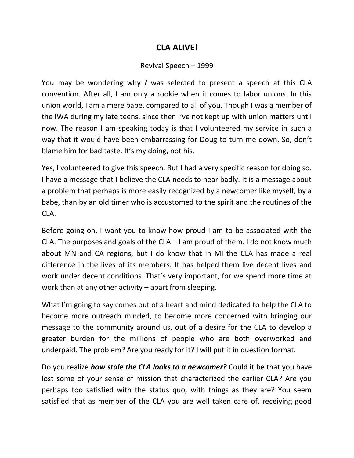## **CLA ALIVE!**

## Revival Speech – 1999

You may be wondering why *I* was selected to present a speech at this CLA convention. After all, I am only a rookie when it comes to labor unions. In this union world, I am a mere babe, compared to all of you. Though I was a member of the IWA during my late teens, since then I've not kept up with union matters until now. The reason I am speaking today is that I volunteered my service in such a way that it would have been embarrassing for Doug to turn me down. So, don't blame him for bad taste. It's my doing, not his.

Yes, I volunteered to give this speech. But I had a very specific reason for doing so. I have a message that I believe the CLA needs to hear badly. It is a message about a problem that perhaps is more easily recognized by a newcomer like myself, by a babe, than by an old timer who is accustomed to the spirit and the routines of the CLA.

Before going on, I want you to know how proud I am to be associated with the CLA. The purposes and goals of the CLA  $-$  I am proud of them. I do not know much about MN and CA regions, but I do know that in MI the CLA has made a real difference in the lives of its members. It has helped them live decent lives and work under decent conditions. That's very important, for we spend more time at work than at any other activity – apart from sleeping.

What I'm going to say comes out of a heart and mind dedicated to help the CLA to become more outreach minded, to become more concerned with bringing our message to the community around us, out of a desire for the CLA to develop a greater burden for the millions of people who are both overworked and underpaid. The problem? Are you ready for it? I will put it in question format.

Do you realize *how stale the CLA looks to a newcomer?* Could it be that you have lost some of your sense of mission that characterized the earlier CLA? Are you perhaps too satisfied with the status quo, with things as they are? You seem satisfied that as member of the CLA you are well taken care of, receiving good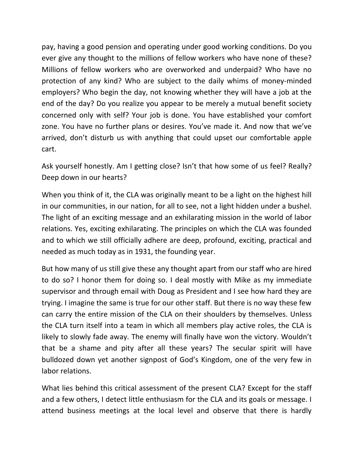pay, having a good pension and operating under good working conditions. Do you ever give any thought to the millions of fellow workers who have none of these? Millions of fellow workers who are overworked and underpaid? Who have no protection of any kind? Who are subject to the daily whims of money-minded employers? Who begin the day, not knowing whether they will have a job at the end of the day? Do you realize you appear to be merely a mutual benefit society concerned only with self? Your job is done. You have established your comfort zone. You have no further plans or desires. You've made it. And now that we've arrived, don't disturb us with anything that could upset our comfortable apple cart.

Ask yourself honestly. Am I getting close? Isn't that how some of us feel? Really? Deep down in our hearts?

When you think of it, the CLA was originally meant to be a light on the highest hill in our communities, in our nation, for all to see, not a light hidden under a bushel. The light of an exciting message and an exhilarating mission in the world of labor relations. Yes, exciting exhilarating. The principles on which the CLA was founded and to which we still officially adhere are deep, profound, exciting, practical and needed as much today as in 1931, the founding year.

But how many of us still give these any thought apart from our staff who are hired to do so? I honor them for doing so. I deal mostly with Mike as my immediate supervisor and through email with Doug as President and I see how hard they are trying. I imagine the same is true for our other staff. But there is no way these few can carry the entire mission of the CLA on their shoulders by themselves. Unless the CLA turn itself into a team in which all members play active roles, the CLA is likely to slowly fade away. The enemy will finally have won the victory. Wouldn't that be a shame and pity after all these years? The secular spirit will have bulldozed down yet another signpost of God's Kingdom, one of the very few in labor relations.

What lies behind this critical assessment of the present CLA? Except for the staff and a few others, I detect little enthusiasm for the CLA and its goals or message. I attend business meetings at the local level and observe that there is hardly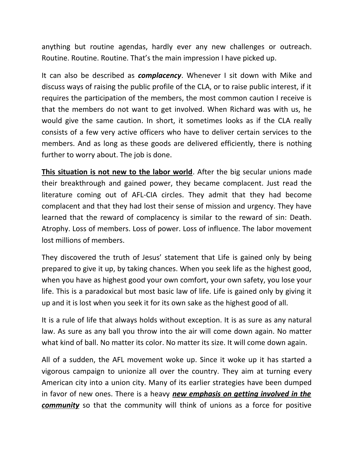anything but routine agendas, hardly ever any new challenges or outreach. Routine. Routine. Routine. That's the main impression I have picked up.

It can also be described as *complacency*. Whenever I sit down with Mike and discuss ways of raising the public profile of the CLA, or to raise public interest, if it requires the participation of the members, the most common caution I receive is that the members do not want to get involved. When Richard was with us, he would give the same caution. In short, it sometimes looks as if the CLA really consists of a few very active officers who have to deliver certain services to the members. And as long as these goods are delivered efficiently, there is nothing further to worry about. The job is done.

**This situation is not new to the labor world**. After the big secular unions made their breakthrough and gained power, they became complacent. Just read the literature coming out of AFL-CIA circles. They admit that they had become complacent and that they had lost their sense of mission and urgency. They have learned that the reward of complacency is similar to the reward of sin: Death. Atrophy. Loss of members. Loss of power. Loss of influence. The labor movement lost millions of members.

They discovered the truth of Jesus' statement that Life is gained only by being prepared to give it up, by taking chances. When you seek life as the highest good, when you have as highest good your own comfort, your own safety, you lose your life. This is a paradoxical but most basic law of life. Life is gained only by giving it up and it is lost when you seek it for its own sake as the highest good of all.

It is a rule of life that always holds without exception. It is as sure as any natural law. As sure as any ball you throw into the air will come down again. No matter what kind of ball. No matter its color. No matter its size. It will come down again.

All of a sudden, the AFL movement woke up. Since it woke up it has started a vigorous campaign to unionize all over the country. They aim at turning every American city into a union city. Many of its earlier strategies have been dumped in favor of new ones. There is a heavy *new emphasis on getting involved in the community* so that the community will think of unions as a force for positive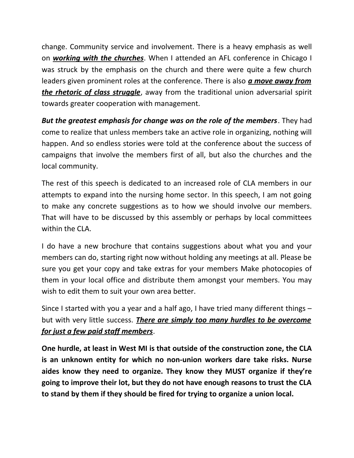change. Community service and involvement. There is a heavy emphasis as well on *working with the churches*. When I attended an AFL conference in Chicago I was struck by the emphasis on the church and there were quite a few church leaders given prominent roles at the conference. There is also *a move away from the rhetoric of class struggle*, away from the traditional union adversarial spirit towards greater cooperation with management.

*But the greatest emphasis for change was on the role of the members*. They had come to realize that unless members take an active role in organizing, nothing will happen. And so endless stories were told at the conference about the success of campaigns that involve the members first of all, but also the churches and the local community.

The rest of this speech is dedicated to an increased role of CLA members in our attempts to expand into the nursing home sector. In this speech, I am not going to make any concrete suggestions as to how we should involve our members. That will have to be discussed by this assembly or perhaps by local committees within the CLA.

I do have a new brochure that contains suggestions about what you and your members can do, starting right now without holding any meetings at all. Please be sure you get your copy and take extras for your members Make photocopies of them in your local office and distribute them amongst your members. You may wish to edit them to suit your own area better.

Since I started with you a year and a half ago, I have tried many different things – but with very little success. *There are simply too many hurdles to be overcome for just a few paid staff members*.

**One hurdle, at least in West MI is that outside of the construction zone, the CLA is an unknown entity for which no non-union workers dare take risks. Nurse aides know they need to organize. They know they MUST organize if they're going to improve their lot, but they do not have enough reasons to trust the CLA to stand by them if they should be fired for trying to organize a union local.**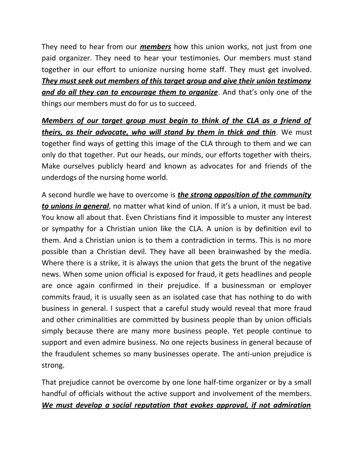They need to hear from our *members* how this union works, not just from one paid organizer. They need to hear your testimonies. Our members must stand together in our effort to unionize nursing home staff. They must get involved. *They must seek out members of this target group and give their union testimony and do all they can to encourage them to organize*. And that's only one of the things our members must do for us to succeed.

*Members of our target group must begin to think of the CLA as a friend of theirs, as their advocate, who will stand by them in thick and thin*. We must together find ways of getting this image of the CLA through to them and we can only do that together. Put our heads, our minds, our efforts together with theirs. Make ourselves publicly heard and known as advocates for and friends of the underdogs of the nursing home world.

A second hurdle we have to overcome is *the strong opposition of the community to unions in general*, no matter what kind of union. If it's a union, it must be bad. You know all about that. Even Christians find it impossible to muster any interest or sympathy for a Christian union like the CLA. A union is by definition evil to them. And a Christian union is to them a contradiction in terms. This is no more possible than a Christian devil. They have all been brainwashed by the media. Where there is a strike, it is always the union that gets the brunt of the negative news. When some union official is exposed for fraud, it gets headlines and people are once again confirmed in their prejudice. If a businessman or employer commits fraud, it is usually seen as an isolated case that has nothing to do with business in general. I suspect that a careful study would reveal that more fraud and other criminalities are committed by business people than by union officials simply because there are many more business people. Yet people continue to support and even admire business. No one rejects business in general because of the fraudulent schemes so many businesses operate. The anti-union prejudice is strong.

That prejudice cannot be overcome by one lone half-time organizer or by a small handful of officials without the active support and involvement of the members. *We must develop a social reputation that evokes approval, if not admiration*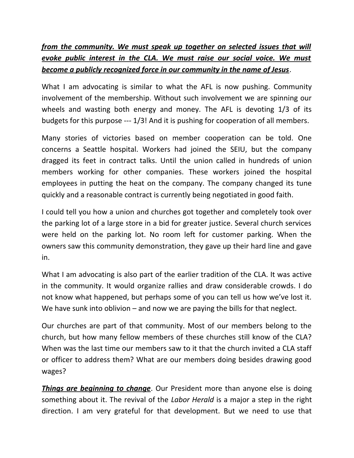## *from the community. We must speak up together on selected issues that will evoke public interest in the CLA. We must raise our social voice. We must become a publicly recognized force in our community in the name of Jesus*.

What I am advocating is similar to what the AFL is now pushing. Community involvement of the membership. Without such involvement we are spinning our wheels and wasting both energy and money. The AFL is devoting 1/3 of its budgets for this purpose --- 1/3! And it is pushing for cooperation of all members.

Many stories of victories based on member cooperation can be told. One concerns a Seattle hospital. Workers had joined the SEIU, but the company dragged its feet in contract talks. Until the union called in hundreds of union members working for other companies. These workers joined the hospital employees in putting the heat on the company. The company changed its tune quickly and a reasonable contract is currently being negotiated in good faith.

I could tell you how a union and churches got together and completely took over the parking lot of a large store in a bid for greater justice. Several church services were held on the parking lot. No room left for customer parking. When the owners saw this community demonstration, they gave up their hard line and gave in.

What I am advocating is also part of the earlier tradition of the CLA. It was active in the community. It would organize rallies and draw considerable crowds. I do not know what happened, but perhaps some of you can tell us how we've lost it. We have sunk into oblivion – and now we are paying the bills for that neglect.

Our churches are part of that community. Most of our members belong to the church, but how many fellow members of these churches still know of the CLA? When was the last time our members saw to it that the church invited a CLA staff or officer to address them? What are our members doing besides drawing good wages?

*Things are beginning to change*. Our President more than anyone else is doing something about it. The revival of the *Labor Herald* is a major a step in the right direction. I am very grateful for that development. But we need to use that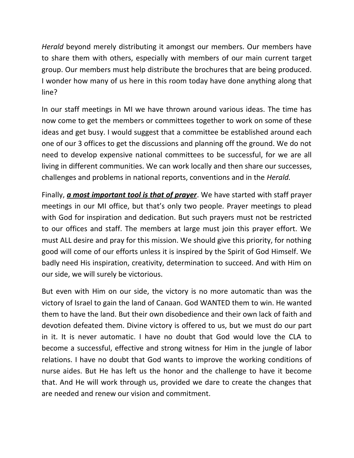*Herald* beyond merely distributing it amongst our members. Our members have to share them with others, especially with members of our main current target group. Our members must help distribute the brochures that are being produced. I wonder how many of us here in this room today have done anything along that line?

In our staff meetings in MI we have thrown around various ideas. The time has now come to get the members or committees together to work on some of these ideas and get busy. I would suggest that a committee be established around each one of our 3 offices to get the discussions and planning off the ground. We do not need to develop expensive national committees to be successful, for we are all living in different communities. We can work locally and then share our successes, challenges and problems in national reports, conventions and in the *Herald.*

Finally, *a most important tool is that of prayer*. We have started with staff prayer meetings in our MI office, but that's only two people. Prayer meetings to plead with God for inspiration and dedication. But such prayers must not be restricted to our offices and staff. The members at large must join this prayer effort. We must ALL desire and pray for this mission. We should give this priority, for nothing good will come of our efforts unless it is inspired by the Spirit of God Himself. We badly need His inspiration, creativity, determination to succeed. And with Him on our side, we will surely be victorious.

But even with Him on our side, the victory is no more automatic than was the victory of Israel to gain the land of Canaan. God WANTED them to win. He wanted them to have the land. But their own disobedience and their own lack of faith and devotion defeated them. Divine victory is offered to us, but we must do our part in it. It is never automatic. I have no doubt that God would love the CLA to become a successful, effective and strong witness for Him in the jungle of labor relations. I have no doubt that God wants to improve the working conditions of nurse aides. But He has left us the honor and the challenge to have it become that. And He will work through us, provided we dare to create the changes that are needed and renew our vision and commitment.